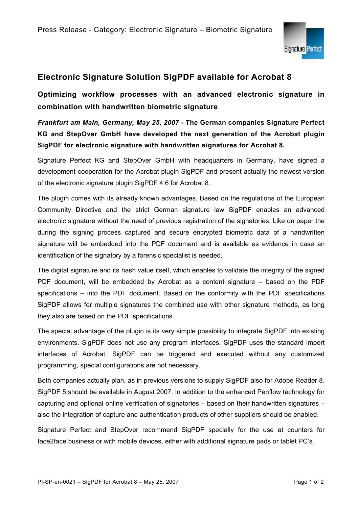

## **Electronic Signature Solution SigPDF available for Acrobat 8**

**Optimizing workflow processes with an advanced electronic signature in combination with handwritten biometric signature** 

## *Frankfurt am Main, Germany, May 25, 2007* **- The German companies Signature Perfect KG and StepOver GmbH have developed the next generation of the Acrobat plugin SigPDF for electronic signature with handwritten signatures for Acrobat 8.**

Signature Perfect KG and StepOver GmbH with headquarters in Germany, have signed a development cooperation for the Acrobat plugin SigPDF and present actually the newest version of the electronic signature plugin SigPDF 4.6 for Acrobat 8.

The plugin comes with its already known advantages. Based on the regulations of the European Community Directive and the strict German signature law SigPDF enables an advanced electronic signature without the need of previous registration of the signatories. Like on paper the during the signing process captured and secure encrypted biometric data of a handwritten signature will be embedded into the PDF document and is available as evidence in case an identification of the signatory by a forensic specialist is needed.

The digital signature and its hash value itself, which enables to validate the integrity of the signed PDF document, will be embedded by Acrobat as a content signature – based on the PDF specifications – into the PDF document. Based on the conformity with the PDF specifications SigPDF allows for multiple signatures the combined use with other signature methods, as long they also are based on the PDF specifications.

The special advantage of the plugin is its very simple possibility to integrate SigPDF into existing environments. SigPDF does not use any program interfaces, SigPDF uses the standard import interfaces of Acrobat. SigPDF can be triggered and executed without any customized programming, special configurations are not necessary.

Both companies actually plan, as in previous versions to supply SigPDF also for Adobe Reader 8. SigPDF 5 should be available in August 2007. In addition to the enhanced Penflow technology for capturing and optional online verification of signatories – based on their handwritten signatures – also the integration of capture and authentication products of other suppliers should be enabled.

Signature Perfect and StepOver recommend SigPDF specially for the use at counters for face2face business or with mobile devices, either with additional signature pads or tablet PC's.